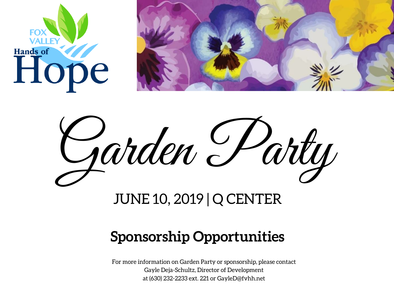





# JUNE 10, 2019 | Q CENTER

# **Sponsorship Opportunities**

For more information on Garden Party or sponsorship, please contact Gayle Deja-Schultz, Director of Development at (630) 232-2233 ext. 221 or GayleD@fvhh.net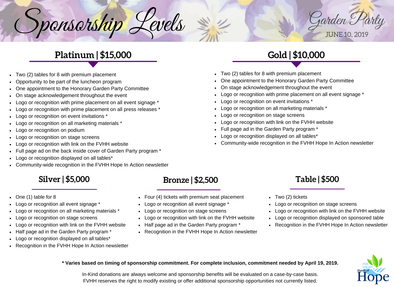

## **Platinum | \$15,000**

ponsorship Levels

- Two (2) tables for 8 with premium placement
- Opportunity to be part of the luncheon program
- One appointment to the Honorary Garden Party Committee
- On stage acknowledgement throughout the event
- Logo or recognition with prime placement on all event signage \*
- Logo or recognition with prime placement on all press releases \*
- Logo or recognition on event invitations \*
- Logo or recognition on all marketing materials \*
- Logo or recognition on podium
- Logo or recognition on stage screens
- Logo or recognition with link on the FVHH website
- Full page ad on the back inside cover of Garden Party program \*
- Logo or recognition displayed on all tables\*
- Community-wide recognition in the FVHH Hope In Action newsletter

## **Silver | \$5,000**

One (1) table for 8

S

- Logo or recognition all event signage \*
- Logo or recognition on all marketing materials \*
- Logo or recognition on stage screens
- Logo or recognition with link on the FVHH website
- Half page ad in the Garden Party program \*
- Logo or recognition displayed on all tables\*
- Recognition in the FVHH Hope In Action newsletter

### **Bronze | \$2,500**

- Four (4) tickets with premium seat placement
- Logo or recognition all event signage \*
- Logo or recognition on stage screens
- Logo or recognition with link on the FVHH website
- Half page ad in the Garden Party program \*
- Recognition in the FVHH Hope In Action newsletter

## **Gold | \$10,000**

- Two (2) tables for 8 with premium placement
- One appointment to the Honorary Garden Party Committee
- On stage acknowledgement throughout the event
- Logo or recognition with prime placement on all event signage \*
- Logo or recognition on event invitations \*
- Logo or recognition on all marketing materials \*
- Logo or recognition on stage screens
- Logo or recognition with link on the FVHH website
- Full page ad in the Garden Party program \*
- Logo or recognition displayed on all tables\*
- Community-wide recognition in the FVHH Hope In Action newsletter

## **Table | \$500**

- Two (2) tickets
- Logo or recognition on stage screens
- Logo or recognition with link on the FVHH website
- Logo or recognition displayed on sponsored table
- Recognition in the FVHH Hope In Action newsletter



\* Varies based on timing of sponsorship commitment. For complete inclusion, commitment needed by April 19, 2019.

In-Kind donations are always welcome and sponsorship benefits will be evaluated on a case-by-case basis. FVHH reserves the right to modify existing or offer additional sponsorship opportunities not currently listed.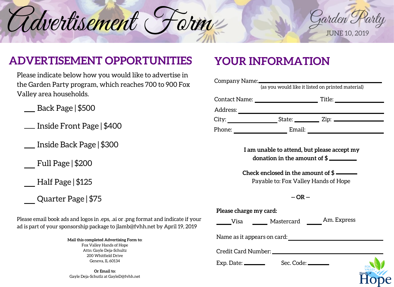



## **ADVERTISEMENT OPPORTUNITIES**

Please indicate below how you would like to advertise in the Garden Party program, which reaches 700 to 900 Fox Valley area households.

Back Page | \$500

Inside Front Page | \$400

Inside Back Page | \$300

Full Page | \$200

Half Page | \$125

Quarter Page | \$75

Please email book ads and logos in .eps, .ai or .png format and indicate if your ad is part of your sponsorship package to jlamb@fvhh.net by April 19, 2019

> **Mail this completed Advertising Form to:** Fox Valley Hands of Hope Attn: Gayle Deja-Schultz 200 Whitfield Drive Geneva, IL 60134

**Or Email to:** Gayle Deja-Schutlz at GayleD@fvhh.net

## **YOUR INFORMATION**

| Company Name:        |                                                        |                                             |  |
|----------------------|--------------------------------------------------------|---------------------------------------------|--|
|                      | (as you would like it listed on printed material)      |                                             |  |
| <b>Contact Name:</b> |                                                        | Title:                                      |  |
| Address:             |                                                        |                                             |  |
| City:                | State: <u>__________</u> Zip:                          |                                             |  |
| Phone:               | Email:                                                 |                                             |  |
|                      |                                                        |                                             |  |
|                      |                                                        | I am unable to attend, but please accept my |  |
|                      | donation in the amount of $\frac{1}{2}$ $\blacksquare$ |                                             |  |

**Check enclosed in the amount of \$** Payable to: Fox Valley Hands of Hope

**-- OR --**

| Please charge my card:      |                  |             |          |
|-----------------------------|------------------|-------------|----------|
| Visa                        | Mastercard       | Am. Express |          |
| Name as it appears on card: |                  |             |          |
| Credit Card Number:         |                  |             |          |
|                             | Sec. Code: _____ |             | Hands of |